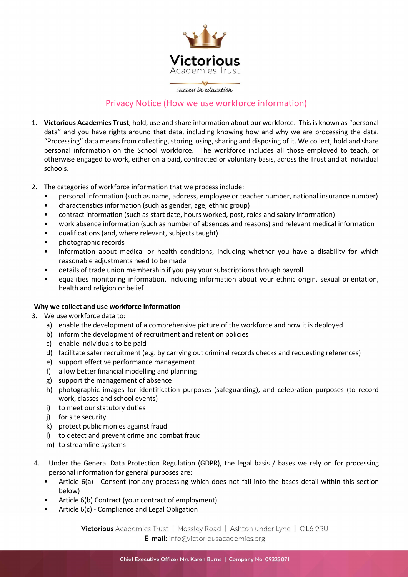

# Privacy Notice (How we use workforce information)

- 1. Victorious Academies Trust, hold, use and share information about our workforce. This is known as "personal data" and you have rights around that data, including knowing how and why we are processing the data. "Processing" data means from collecting, storing, using, sharing and disposing of it. We collect, hold and share personal information on the School workforce. The workforce includes all those employed to teach, or otherwise engaged to work, either on a paid, contracted or voluntary basis, across the Trust and at individual schools.
- 2. The categories of workforce information that we process include:
	- personal information (such as name, address, employee or teacher number, national insurance number)
	- characteristics information (such as gender, age, ethnic group)
	- contract information (such as start date, hours worked, post, roles and salary information)
	- work absence information (such as number of absences and reasons) and relevant medical information
	- qualifications (and, where relevant, subjects taught)
	- photographic records
	- information about medical or health conditions, including whether you have a disability for which reasonable adjustments need to be made
	- details of trade union membership if you pay your subscriptions through payroll
	- equalities monitoring information, including information about your ethnic origin, sexual orientation, health and religion or belief

# Why we collect and use workforce information

- 3. We use workforce data to:
	- a) enable the development of a comprehensive picture of the workforce and how it is deployed
	- b) inform the development of recruitment and retention policies
	- c) enable individuals to be paid
	- d) facilitate safer recruitment (e.g. by carrying out criminal records checks and requesting references)
	- e) support effective performance management
	- f) allow better financial modelling and planning
	- g) support the management of absence
	- h) photographic images for identification purposes (safeguarding), and celebration purposes (to record work, classes and school events)
	- i) to meet our statutory duties
	- j) for site security
	- k) protect public monies against fraud
	- l) to detect and prevent crime and combat fraud
	- m) to streamline systems
- 4. Under the General Data Protection Regulation (GDPR), the legal basis / bases we rely on for processing personal information for general purposes are:
	- Article 6(a) Consent (for any processing which does not fall into the bases detail within this section below)
	- Article 6(b) Contract (your contract of employment)
	- Article 6(c) Compliance and Legal Obligation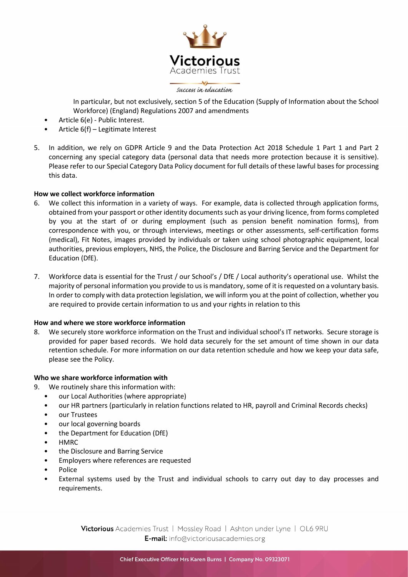

 In particular, but not exclusively, section 5 of the Education (Supply of Information about the School Workforce) (England) Regulations 2007 and amendments

- Article 6(e) Public Interest.
- Article 6(f) Legitimate Interest
- 5. In addition, we rely on GDPR Article 9 and the Data Protection Act 2018 Schedule 1 Part 1 and Part 2 concerning any special category data (personal data that needs more protection because it is sensitive). Please refer to our Special Category Data Policy document for full details of these lawful bases for processing this data.

## How we collect workforce information

- 6. We collect this information in a variety of ways. For example, data is collected through application forms, obtained from your passport or other identity documents such as your driving licence, from forms completed by you at the start of or during employment (such as pension benefit nomination forms), from correspondence with you, or through interviews, meetings or other assessments, self-certification forms (medical), Fit Notes, images provided by individuals or taken using school photographic equipment, local authorities, previous employers, NHS, the Police, the Disclosure and Barring Service and the Department for Education (DfE).
- 7. Workforce data is essential for the Trust / our School's / DfE / Local authority's operational use. Whilst the majority of personal information you provide to us is mandatory, some of it is requested on a voluntary basis. In order to comply with data protection legislation, we will inform you at the point of collection, whether you are required to provide certain information to us and your rights in relation to this

#### How and where we store workforce information

8. We securely store workforce information on the Trust and individual school's IT networks. Secure storage is provided for paper based records. We hold data securely for the set amount of time shown in our data retention schedule. For more information on our data retention schedule and how we keep your data safe, please see the Policy.

#### Who we share workforce information with

- 9. We routinely share this information with:
	- our Local Authorities (where appropriate)
	- our HR partners (particularly in relation functions related to HR, payroll and Criminal Records checks)
	- our Trustees
	- our local governing boards
	- the Department for Education (DfE)
	- HMRC
	- the Disclosure and Barring Service
	- Employers where references are requested
	- Police
	- External systems used by the Trust and individual schools to carry out day to day processes and requirements.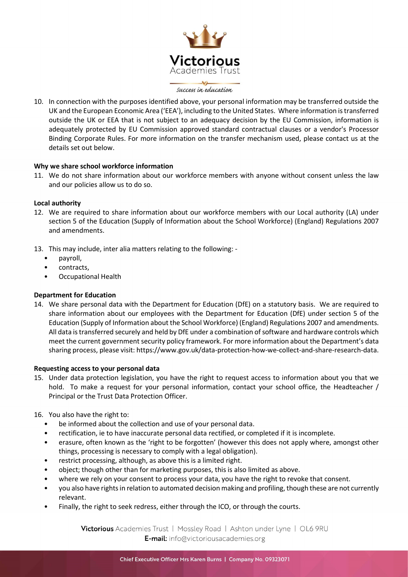

10. In connection with the purposes identified above, your personal information may be transferred outside the UK and the European Economic Area ('EEA'), including to the United States. Where information is transferred outside the UK or EEA that is not subject to an adequacy decision by the EU Commission, information is adequately protected by EU Commission approved standard contractual clauses or a vendor's Processor Binding Corporate Rules. For more information on the transfer mechanism used, please contact us at the details set out below.

# Why we share school workforce information

11. We do not share information about our workforce members with anyone without consent unless the law and our policies allow us to do so.

## Local authority

- 12. We are required to share information about our workforce members with our Local authority (LA) under section 5 of the Education (Supply of Information about the School Workforce) (England) Regulations 2007 and amendments.
- 13. This may include, inter alia matters relating to the following:
	- payroll,
	- contracts,
	- Occupational Health

# Department for Education

14. We share personal data with the Department for Education (DfE) on a statutory basis. We are required to share information about our employees with the Department for Education (DfE) under section 5 of the Education (Supply of Information about the School Workforce) (England) Regulations 2007 and amendments. All data is transferred securely and held by DfE under a combination of software and hardware controls which meet the current government security policy framework. For more information about the Department's data sharing process, please visit: https://www.gov.uk/data-protection-how-we-collect-and-share-research-data.

#### Requesting access to your personal data

- 15. Under data protection legislation, you have the right to request access to information about you that we hold. To make a request for your personal information, contact your school office, the Headteacher / Principal or the Trust Data Protection Officer.
- 16. You also have the right to:
	- be informed about the collection and use of your personal data.
	- rectification, ie to have inaccurate personal data rectified, or completed if it is incomplete.
	- erasure, often known as the 'right to be forgotten' (however this does not apply where, amongst other things, processing is necessary to comply with a legal obligation).
	- restrict processing, although, as above this is a limited right.
	- object; though other than for marketing purposes, this is also limited as above.
	- where we rely on your consent to process your data, you have the right to revoke that consent.
	- you also have rights in relation to automated decision making and profiling, though these are not currently relevant.
	- Finally, the right to seek redress, either through the ICO, or through the courts.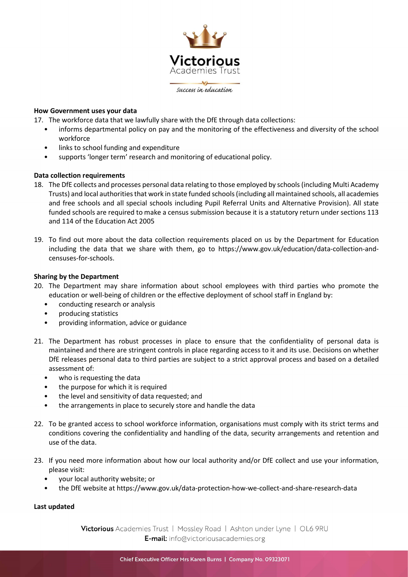

# How Government uses your data

17. The workforce data that we lawfully share with the DfE through data collections:

- informs departmental policy on pay and the monitoring of the effectiveness and diversity of the school workforce
- links to school funding and expenditure
- supports 'longer term' research and monitoring of educational policy.

# Data collection requirements

- 18. The DfE collects and processes personal data relating to those employed by schools (including Multi Academy Trusts) and local authorities that work in state funded schools (including all maintained schools, all academies and free schools and all special schools including Pupil Referral Units and Alternative Provision). All state funded schools are required to make a census submission because it is a statutory return under sections 113 and 114 of the Education Act 2005
- 19. To find out more about the data collection requirements placed on us by the Department for Education including the data that we share with them, go to https://www.gov.uk/education/data-collection-andcensuses-for-schools.

# Sharing by the Department

- 20. The Department may share information about school employees with third parties who promote the education or well-being of children or the effective deployment of school staff in England by:
	- conducting research or analysis
	- producing statistics
	- providing information, advice or guidance
- 21. The Department has robust processes in place to ensure that the confidentiality of personal data is maintained and there are stringent controls in place regarding access to it and its use. Decisions on whether DfE releases personal data to third parties are subject to a strict approval process and based on a detailed assessment of:
	- who is requesting the data
	- the purpose for which it is required
	- the level and sensitivity of data requested; and
	- the arrangements in place to securely store and handle the data
- 22. To be granted access to school workforce information, organisations must comply with its strict terms and conditions covering the confidentiality and handling of the data, security arrangements and retention and use of the data.
- 23. If you need more information about how our local authority and/or DfE collect and use your information, please visit:
	- your local authority website; or
	- the DfE website at https://www.gov.uk/data-protection-how-we-collect-and-share-research-data

# Last updated